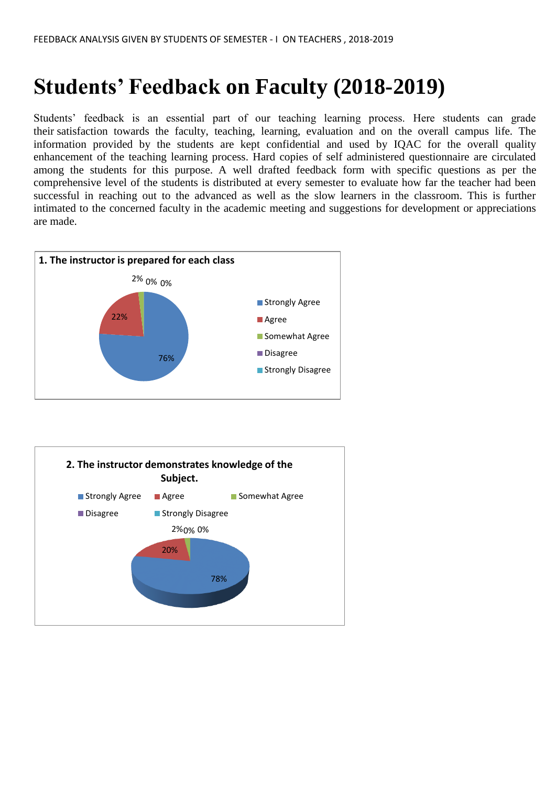## **Students' Feedback on Faculty (2018-2019)**

Students' feedback is an essential part of our teaching learning process. Here students can grade their satisfaction towards the faculty, teaching, learning, evaluation and on the overall campus life. The information provided by the students are kept confidential and used by IQAC for the overall quality enhancement of the teaching learning process. Hard copies of self administered questionnaire are circulated among the students for this purpose. A well drafted feedback form with specific questions as per the comprehensive level of the students is distributed at every semester to evaluate how far the teacher had been successful in reaching out to the advanced as well as the slow learners in the classroom. This is further intimated to the concerned faculty in the academic meeting and suggestions for development or appreciations are made.



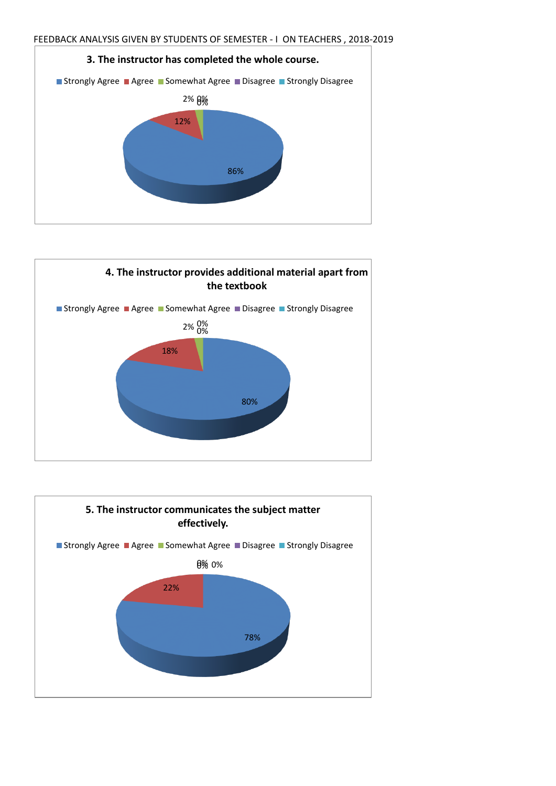



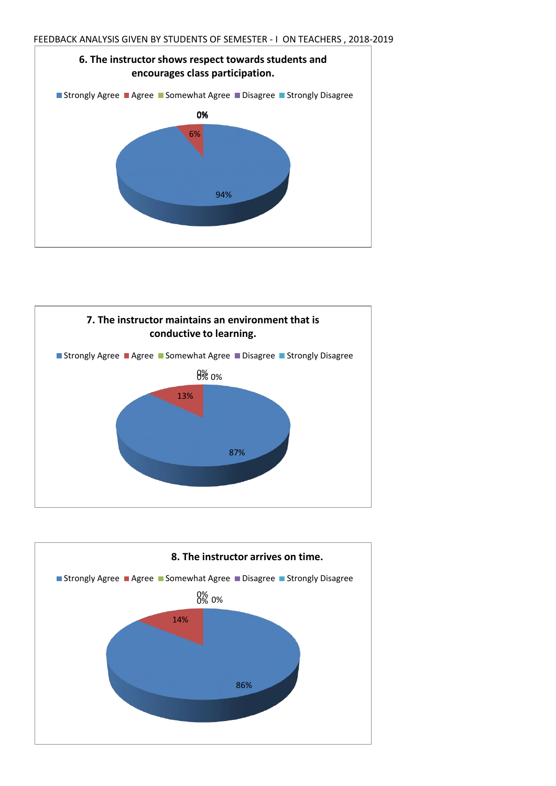



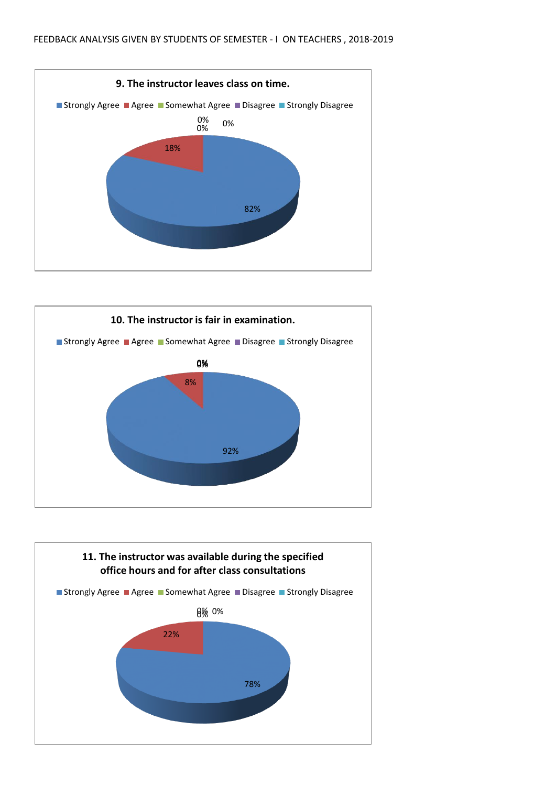